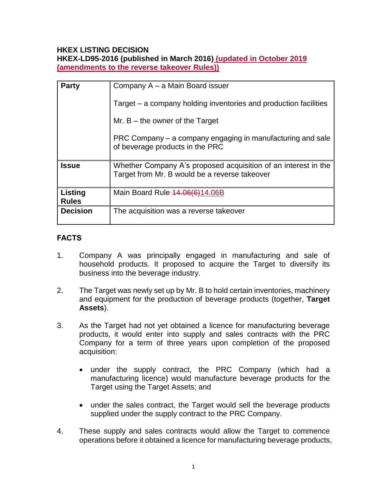#### **HKEX LISTING DECISION HKEX-LD95-2016 (published in March 2016) (updated in October 2019 (amendments to the reverse takeover Rules))**

| <b>Party</b>            | Company A – a Main Board issuer                                                                                 |
|-------------------------|-----------------------------------------------------------------------------------------------------------------|
|                         | Target – a company holding inventories and production facilities                                                |
|                         | Mr. $B$ – the owner of the Target                                                                               |
|                         | PRC Company – a company engaging in manufacturing and sale<br>of beverage products in the PRC                   |
| <b>Issue</b>            | Whether Company A's proposed acquisition of an interest in the<br>Target from Mr. B would be a reverse takeover |
| Listing<br><b>Rules</b> | Main Board Rule 44.06(6)14.06B                                                                                  |
| <b>Decision</b>         | The acquisition was a reverse takeover                                                                          |

# **FACTS**

- 1. Company A was principally engaged in manufacturing and sale of household products. It proposed to acquire the Target to diversify its business into the beverage industry.
- 2. The Target was newly set up by Mr. B to hold certain inventories, machinery and equipment for the production of beverage products (together, **Target Assets**).
- 3. As the Target had not yet obtained a licence for manufacturing beverage products, it would enter into supply and sales contracts with the PRC Company for a term of three years upon completion of the proposed acquisition:
	- under the supply contract, the PRC Company (which had a manufacturing licence) would manufacture beverage products for the Target using the Target Assets; and
	- under the sales contract, the Target would sell the beverage products supplied under the supply contract to the PRC Company.
- 4. These supply and sales contracts would allow the Target to commence operations before it obtained a licence for manufacturing beverage products,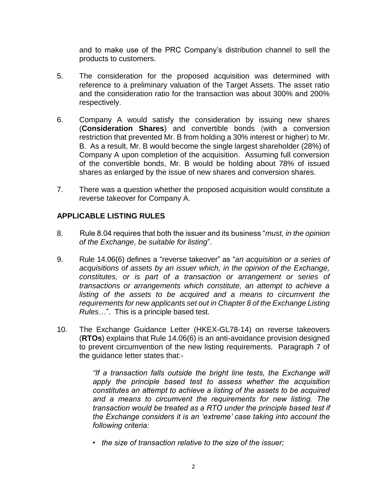and to make use of the PRC Company's distribution channel to sell the products to customers.

- 5. The consideration for the proposed acquisition was determined with reference to a preliminary valuation of the Target Assets. The asset ratio and the consideration ratio for the transaction was about 300% and 200% respectively.
- 6. Company A would satisfy the consideration by issuing new shares (**Consideration Shares**) and convertible bonds (with a conversion restriction that prevented Mr. B from holding a 30% interest or higher) to Mr. B. As a result, Mr. B would become the single largest shareholder (28%) of Company A upon completion of the acquisition. Assuming full conversion of the convertible bonds, Mr. B would be holding about 78% of issued shares as enlarged by the issue of new shares and conversion shares.
- 7. There was a question whether the proposed acquisition would constitute a reverse takeover for Company A.

### **APPLICABLE LISTING RULES**

- 8. Rule 8.04 requires that both the issuer and its business "*must, in the opinion of the Exchange, be suitable for listing*".
- 9. Rule 14.06(6) defines a "reverse takeover" as "*an acquisition or a series of acquisitions of assets by an issuer which, in the opinion of the Exchange, constitutes, or is part of a transaction or arrangement or series of transactions or arrangements which constitute, an attempt to achieve a listing of the assets to be acquired and a means to circumvent the requirements for new applicants set out in Chapter 8 of the Exchange Listing Rules*…". This is a principle based test.
- 10. The Exchange Guidance Letter (HKEX-GL78-14) on reverse takeovers (**RTOs**) explains that Rule 14.06(6) is an anti-avoidance provision designed to prevent circumvention of the new listing requirements. Paragraph 7 of the guidance letter states that:-

*"If a transaction falls outside the bright line tests, the Exchange will apply the principle based test to assess whether the acquisition constitutes an attempt to achieve a listing of the assets to be acquired and a means to circumvent the requirements for new listing. The transaction would be treated as a RTO under the principle based test if the Exchange considers it is an 'extreme' case taking into account the following criteria:* 

*• the size of transaction relative to the size of the issuer;*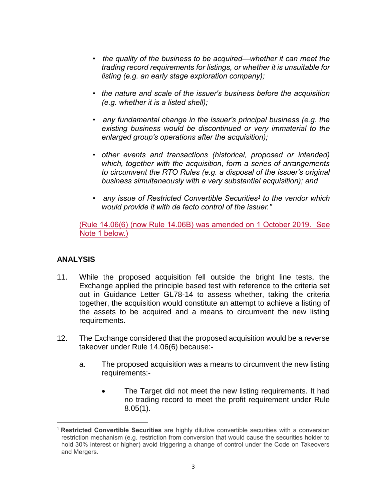- *the quality of the business to be acquired—whether it can meet the trading record requirements for listings, or whether it is unsuitable for listing (e.g. an early stage exploration company);*
- *the nature and scale of the issuer's business before the acquisition (e.g. whether it is a listed shell);*
- *any fundamental change in the issuer's principal business (e.g. the existing business would be discontinued or very immaterial to the enlarged group's operations after the acquisition);*
- *other events and transactions (historical, proposed or intended) which, together with the acquisition, form a series of arrangements to circumvent the RTO Rules (e.g. a disposal of the issuer's original business simultaneously with a very substantial acquisition); and*
- *any issue of Restricted Convertible Securities<sup>1</sup> to the vendor which would provide it with de facto control of the issuer."*

(Rule 14.06(6) (now Rule 14.06B) was amended on 1 October 2019. See Note 1 below.)

## **ANALYSIS**

- 11. While the proposed acquisition fell outside the bright line tests, the Exchange applied the principle based test with reference to the criteria set out in Guidance Letter GL78-14 to assess whether, taking the criteria together, the acquisition would constitute an attempt to achieve a listing of the assets to be acquired and a means to circumvent the new listing requirements.
- 12. The Exchange considered that the proposed acquisition would be a reverse takeover under Rule 14.06(6) because:
	- a. The proposed acquisition was a means to circumvent the new listing requirements:-
		- The Target did not meet the new listing requirements. It had no trading record to meet the profit requirement under Rule 8.05(1).

 $\overline{a}$ <sup>1</sup> **Restricted Convertible Securities** are highly dilutive convertible securities with a conversion restriction mechanism (e.g. restriction from conversion that would cause the securities holder to hold 30% interest or higher) avoid triggering a change of control under the Code on Takeovers and Mergers.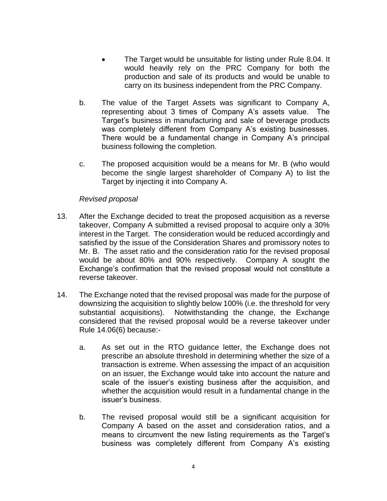- The Target would be unsuitable for listing under Rule 8.04. It would heavily rely on the PRC Company for both the production and sale of its products and would be unable to carry on its business independent from the PRC Company.
- b. The value of the Target Assets was significant to Company A, representing about 3 times of Company A's assets value. The Target's business in manufacturing and sale of beverage products was completely different from Company A's existing businesses. There would be a fundamental change in Company A's principal business following the completion.
- c. The proposed acquisition would be a means for Mr. B (who would become the single largest shareholder of Company A) to list the Target by injecting it into Company A.

#### *Revised proposal*

- 13. After the Exchange decided to treat the proposed acquisition as a reverse takeover, Company A submitted a revised proposal to acquire only a 30% interest in the Target. The consideration would be reduced accordingly and satisfied by the issue of the Consideration Shares and promissory notes to Mr. B. The asset ratio and the consideration ratio for the revised proposal would be about 80% and 90% respectively. Company A sought the Exchange's confirmation that the revised proposal would not constitute a reverse takeover.
- 14. The Exchange noted that the revised proposal was made for the purpose of downsizing the acquisition to slightly below 100% (i.e. the threshold for very substantial acquisitions). Notwithstanding the change, the Exchange considered that the revised proposal would be a reverse takeover under Rule 14.06(6) because:
	- a. As set out in the RTO guidance letter, the Exchange does not prescribe an absolute threshold in determining whether the size of a transaction is extreme. When assessing the impact of an acquisition on an issuer, the Exchange would take into account the nature and scale of the issuer's existing business after the acquisition, and whether the acquisition would result in a fundamental change in the issuer's business.
	- b. The revised proposal would still be a significant acquisition for Company A based on the asset and consideration ratios, and a means to circumvent the new listing requirements as the Target's business was completely different from Company A's existing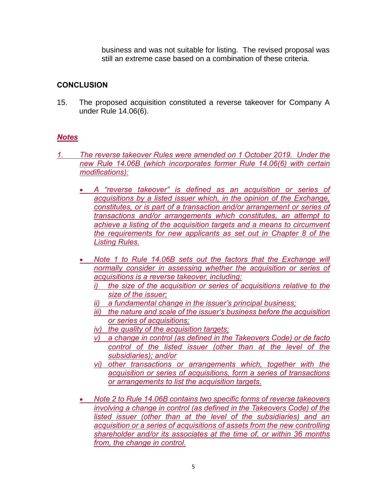business and was not suitable for listing. The revised proposal was still an extreme case based on a combination of these criteria.

## **CONCLUSION**

15. The proposed acquisition constituted a reverse takeover for Company A under Rule 14.06(6).

### *Notes*

- *1. The reverse takeover Rules were amended on 1 October 2019. Under the new Rule 14.06B (which incorporates former Rule 14.06(6) with certain modifications):*
	- *A "reverse takeover" is defined as an acquisition or series of acquisitions by a listed issuer which, in the opinion of the Exchange, constitutes, or is part of a transaction and/or arrangement or series of transactions and/or arrangements which constitutes, an attempt to achieve a listing of the acquisition targets and a means to circumvent the requirements for new applicants as set out in Chapter 8 of the Listing Rules.*
	- *Note 1 to Rule 14.06B sets out the factors that the Exchange will normally consider in assessing whether the acquisition or series of acquisitions is a reverse takeover, including:* 
		- *i) the size of the acquisition or series of acquisitions relative to the size of the issuer;*
		- *ii) a fundamental change in the issuer's principal business;*
		- *iii) the nature and scale of the issuer's business before the acquisition or series of acquisitions;*
		- *iv) the quality of the acquisition targets;*
		- *v) a change in control (as defined in the Takeovers Code) or de facto*  control of the listed issuer (other than at the level of the *subsidiaries); and/or*
		- *vi) other transactions or arrangements which, together with the acquisition or series of acquisitions, form a series of transactions or arrangements to list the acquisition targets.*
	- *Note 2 to Rule 14.06B contains two specific forms of reverse takeovers involving a change in control (as defined in the Takeovers Code) of the listed issuer (other than at the level of the subsidiaries) and an acquisition or a series of acquisitions of assets from the new controlling shareholder and/or its associates at the time of, or within 36 months from, the change in control.*